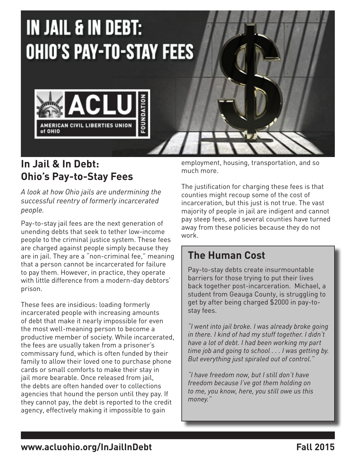

#### **In Jail & In Debt: Ohio's Pay-to-Stay Fees**

*A look at how Ohio jails are undermining the successful reentry of formerly incarcerated people.* 

Pay-to-stay jail fees are the next generation of unending debts that seek to tether low-income people to the criminal justice system. These fees are charged against people simply because they are in jail. They are a "non-criminal fee," meaning that a person cannot be incarcerated for failure to pay them. However, in practice, they operate with little difference from a modern-day debtors' prison.

These fees are insidious: loading formerly incarcerated people with increasing amounts of debt that make it nearly impossible for even the most well-meaning person to become a productive member of society. While incarcerated, the fees are usually taken from a prisoner's commissary fund, which is often funded by their family to allow their loved one to purchase phone cards or small comforts to make their stay in jail more bearable. Once released from jail, the debts are often handed over to collections agencies that hound the person until they pay. If they cannot pay, the debt is reported to the credit agency, effectively making it impossible to gain

employment, housing, transportation, and so much more.

The justification for charging these fees is that counties might recoup some of the cost of incarceration, but this just is not true. The vast majority of people in jail are indigent and cannot pay steep fees, and several counties have turned away from these policies because they do not work.

### **The Human Cost**

Pay-to-stay debts create insurmountable barriers for those trying to put their lives back together post-incarceration. Michael, a student from Geauga County, is struggling to get by after being charged \$2000 in pay-tostay fees.

*"I went into jail broke. I was already broke going in there. I kind of had my stuff together. I didn't have a lot of debt. I had been working my part time job and going to school . . . I was getting by. But everything just spiraled out of control."* 

*"I have freedom now, but I still don't have freedom because I've got them holding on to me, you know, here, you still owe us this money."*